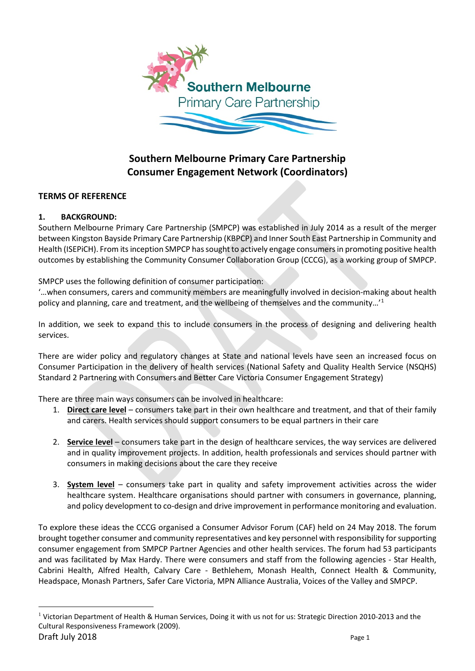

# **Southern Melbourne Primary Care Partnership Consumer Engagement Network (Coordinators)**

# **TERMS OF REFERENCE**

## **1. BACKGROUND:**

Southern Melbourne Primary Care Partnership (SMPCP) was established in July 2014 as a result of the merger between Kingston Bayside Primary Care Partnership (KBPCP) and Inner South East Partnership in Community and Health (ISEPiCH). From its inception SMPCP has sought to actively engage consumers in promoting positive health outcomes by establishing the Community Consumer Collaboration Group (CCCG), as a working group of SMPCP.

SMPCP uses the following definition of consumer participation:

'…when consumers, carers and community members are meaningfully involved in decision-making about health policy and planning, care and treatment, and the wellbeing of themselves and the community…'[1](#page-0-0)

In addition, we seek to expand this to include consumers in the process of designing and delivering health services.

There are wider policy and regulatory changes at State and national levels have seen an increased focus on Consumer Participation in the delivery of health services (National Safety and Quality Health Service (NSQHS) Standard 2 Partnering with Consumers and Better Care Victoria Consumer Engagement Strategy)

There are three main ways consumers can be involved in healthcare:

- 1. **Direct care level** consumers take part in their own healthcare and treatment, and that of their family and carers. Health services should support consumers to be equal partners in their care
- 2. **Service level** consumers take part in the design of healthcare services, the way services are delivered and in quality improvement projects. In addition, health professionals and services should partner with consumers in making decisions about the care they receive
- 3. **System level** consumers take part in quality and safety improvement activities across the wider healthcare system. Healthcare organisations should partner with consumers in governance, planning, and policy development to co-design and drive improvement in performance monitoring and evaluation.

To explore these ideas the CCCG organised a Consumer Advisor Forum (CAF) held on 24 May 2018. The forum brought together consumer and community representatives and key personnel with responsibility for supporting consumer engagement from SMPCP Partner Agencies and other health services. The forum had 53 participants and was facilitated by Max Hardy. There were consumers and staff from the following agencies - Star Health, Cabrini Health, Alfred Health, Calvary Care - Bethlehem, Monash Health, Connect Health & Community, Headspace, Monash Partners, Safer Care Victoria, MPN Alliance Australia, Voices of the Valley and SMPCP.

<span id="page-0-0"></span>Draft July 2018 **Page 1** <sup>1</sup> Victorian Department of Health & Human Services, Doing it with us not for us: Strategic Direction 2010-2013 and the Cultural Responsiveness Framework (2009).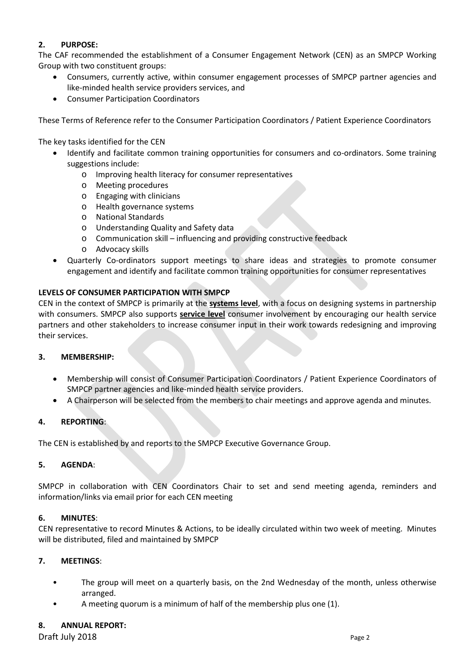# **2. PURPOSE:**

The CAF recommended the establishment of a Consumer Engagement Network (CEN) as an SMPCP Working Group with two constituent groups:

- Consumers, currently active, within consumer engagement processes of SMPCP partner agencies and like-minded health service providers services, and
- Consumer Participation Coordinators

These Terms of Reference refer to the Consumer Participation Coordinators / Patient Experience Coordinators

#### The key tasks identified for the CEN

- Identify and facilitate common training opportunities for consumers and co-ordinators. Some training suggestions include:
	- o Improving health literacy for consumer representatives
	- o Meeting procedures
	- o Engaging with clinicians
	- o Health governance systems
	- o National Standards
	- o Understanding Quality and Safety data
	- o Communication skill influencing and providing constructive feedback
	- o Advocacy skills
- Quarterly Co-ordinators support meetings to share ideas and strategies to promote consumer engagement and identify and facilitate common training opportunities for consumer representatives

## **LEVELS OF CONSUMER PARTICIPATION WITH SMPCP**

CEN in the context of SMPCP is primarily at the **systems level**, with a focus on designing systems in partnership with consumers. SMPCP also supports **service level** consumer involvement by encouraging our health service partners and other stakeholders to increase consumer input in their work towards redesigning and improving their services.

## **3. MEMBERSHIP:**

- Membership will consist of Consumer Participation Coordinators / Patient Experience Coordinators of SMPCP partner agencies and like-minded health service providers.
- A Chairperson will be selected from the members to chair meetings and approve agenda and minutes.

## **4. REPORTING**:

The CEN is established by and reports to the SMPCP Executive Governance Group.

## **5. AGENDA**:

SMPCP in collaboration with CEN Coordinators Chair to set and send meeting agenda, reminders and information/links via email prior for each CEN meeting

## **6. MINUTES**:

CEN representative to record Minutes & Actions, to be ideally circulated within two week of meeting. Minutes will be distributed, filed and maintained by SMPCP

## **7. MEETINGS**:

- The group will meet on a quarterly basis, on the 2nd Wednesday of the month, unless otherwise arranged.
- A meeting quorum is a minimum of half of the membership plus one (1).

## **8. ANNUAL REPORT:**

**Draft July 2018** Page 2